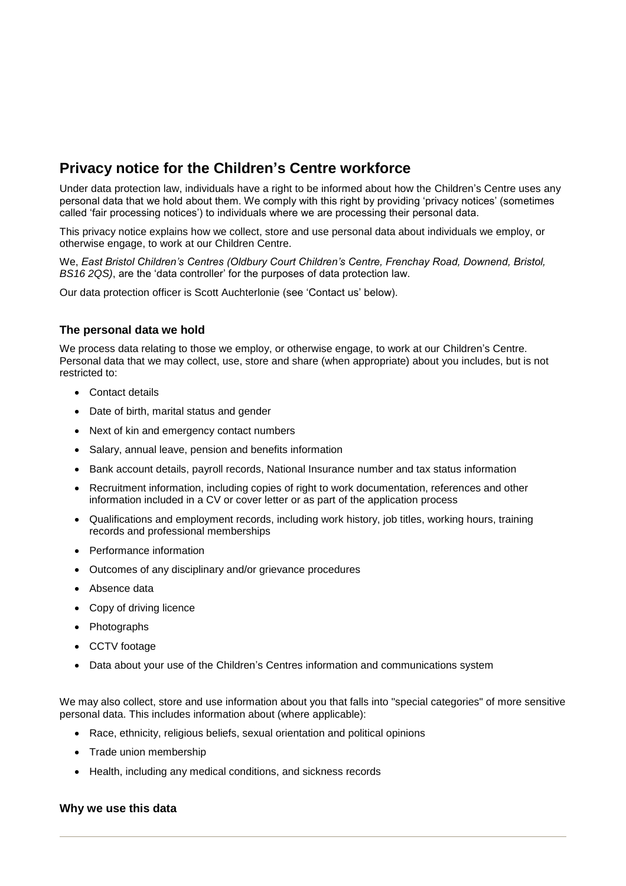# **Privacy notice for the Children's Centre workforce**

Under data protection law, individuals have a right to be informed about how the Children's Centre uses any personal data that we hold about them. We comply with this right by providing 'privacy notices' (sometimes called 'fair processing notices') to individuals where we are processing their personal data.

This privacy notice explains how we collect, store and use personal data about individuals we employ, or otherwise engage, to work at our Children Centre.

We, *East Bristol Children's Centres (Oldbury Court Children's Centre, Frenchay Road, Downend, Bristol, BS16 2QS)*, are the 'data controller' for the purposes of data protection law.

Our data protection officer is Scott Auchterlonie (see 'Contact us' below).

## **The personal data we hold**

We process data relating to those we employ, or otherwise engage, to work at our Children's Centre. Personal data that we may collect, use, store and share (when appropriate) about you includes, but is not restricted to:

- Contact details
- Date of birth, marital status and gender
- Next of kin and emergency contact numbers
- Salary, annual leave, pension and benefits information
- Bank account details, payroll records, National Insurance number and tax status information
- Recruitment information, including copies of right to work documentation, references and other information included in a CV or cover letter or as part of the application process
- Qualifications and employment records, including work history, job titles, working hours, training records and professional memberships
- Performance information
- Outcomes of any disciplinary and/or grievance procedures
- Absence data
- Copy of driving licence
- Photographs
- CCTV footage
- Data about your use of the Children's Centres information and communications system

We may also collect, store and use information about you that falls into "special categories" of more sensitive personal data. This includes information about (where applicable):

- Race, ethnicity, religious beliefs, sexual orientation and political opinions
- Trade union membership
- Health, including any medical conditions, and sickness records

## **Why we use this data**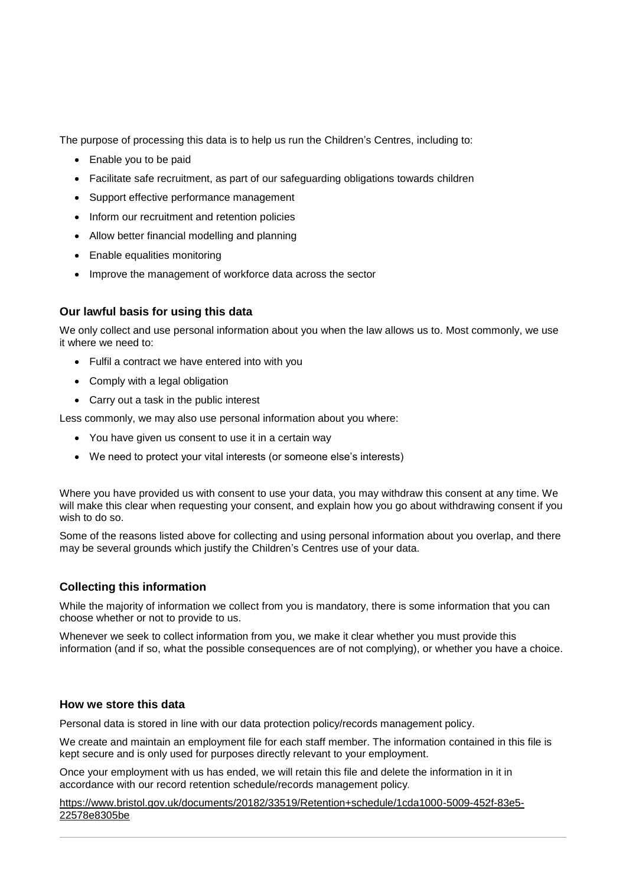The purpose of processing this data is to help us run the Children's Centres, including to:

- Enable you to be paid
- Facilitate safe recruitment, as part of our safeguarding obligations towards children
- Support effective performance management
- Inform our recruitment and retention policies
- Allow better financial modelling and planning
- Enable equalities monitoring
- Improve the management of workforce data across the sector

# **Our lawful basis for using this data**

We only collect and use personal information about you when the law allows us to. Most commonly, we use it where we need to:

- Fulfil a contract we have entered into with you
- Comply with a legal obligation
- Carry out a task in the public interest

Less commonly, we may also use personal information about you where:

- You have given us consent to use it in a certain way
- We need to protect your vital interests (or someone else's interests)

Where you have provided us with consent to use your data, you may withdraw this consent at any time. We will make this clear when requesting your consent, and explain how you go about withdrawing consent if you wish to do so.

Some of the reasons listed above for collecting and using personal information about you overlap, and there may be several grounds which justify the Children's Centres use of your data.

## **Collecting this information**

While the majority of information we collect from you is mandatory, there is some information that you can choose whether or not to provide to us.

Whenever we seek to collect information from you, we make it clear whether you must provide this information (and if so, what the possible consequences are of not complying), or whether you have a choice.

## **How we store this data**

Personal data is stored in line with our data protection policy/records management policy.

We create and maintain an employment file for each staff member. The information contained in this file is kept secure and is only used for purposes directly relevant to your employment.

Once your employment with us has ended, we will retain this file and delete the information in it in accordance with our record retention schedule/records management policy.

[https://www.bristol.gov.uk/documents/20182/33519/Retention+schedule/1cda1000-5009-452f-83e5-](https://www.bristol.gov.uk/documents/20182/33519/Retention+schedule/1cda1000-5009-452f-83e5-22578e8305be) [22578e8305be](https://www.bristol.gov.uk/documents/20182/33519/Retention+schedule/1cda1000-5009-452f-83e5-22578e8305be)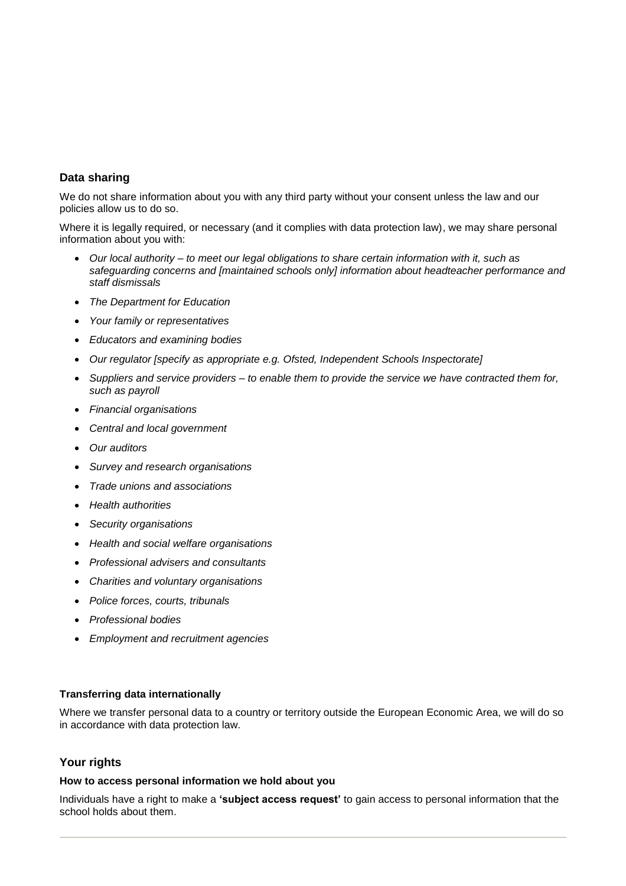# **Data sharing**

We do not share information about you with any third party without your consent unless the law and our policies allow us to do so.

Where it is legally required, or necessary (and it complies with data protection law), we may share personal information about you with:

- *Our local authority – to meet our legal obligations to share certain information with it, such as safeguarding concerns and [maintained schools only] information about headteacher performance and staff dismissals*
- *The Department for Education*
- *Your family or representatives*
- *Educators and examining bodies*
- *Our regulator [specify as appropriate e.g. Ofsted, Independent Schools Inspectorate]*
- *Suppliers and service providers – to enable them to provide the service we have contracted them for, such as payroll*
- *Financial organisations*
- *Central and local government*
- *Our auditors*
- *Survey and research organisations*
- *Trade unions and associations*
- *Health authorities*
- *Security organisations*
- *Health and social welfare organisations*
- *Professional advisers and consultants*
- *Charities and voluntary organisations*
- *Police forces, courts, tribunals*
- *Professional bodies*
- *Employment and recruitment agencies*

## **Transferring data internationally**

Where we transfer personal data to a country or territory outside the European Economic Area, we will do so in accordance with data protection law.

## **Your rights**

#### **How to access personal information we hold about you**

Individuals have a right to make a **'subject access request'** to gain access to personal information that the school holds about them.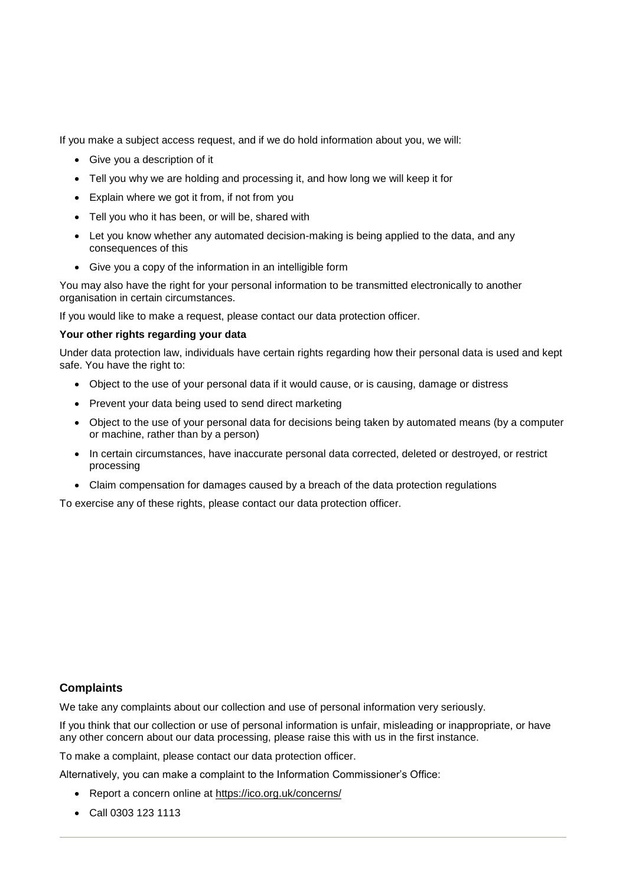If you make a subject access request, and if we do hold information about you, we will:

- Give you a description of it
- Tell you why we are holding and processing it, and how long we will keep it for
- Explain where we got it from, if not from you
- Tell you who it has been, or will be, shared with
- Let you know whether any automated decision-making is being applied to the data, and any consequences of this
- Give you a copy of the information in an intelligible form

You may also have the right for your personal information to be transmitted electronically to another organisation in certain circumstances.

If you would like to make a request, please contact our data protection officer.

#### **Your other rights regarding your data**

Under data protection law, individuals have certain rights regarding how their personal data is used and kept safe. You have the right to:

- Object to the use of your personal data if it would cause, or is causing, damage or distress
- Prevent your data being used to send direct marketing
- Object to the use of your personal data for decisions being taken by automated means (by a computer or machine, rather than by a person)
- In certain circumstances, have inaccurate personal data corrected, deleted or destroyed, or restrict processing
- Claim compensation for damages caused by a breach of the data protection regulations

To exercise any of these rights, please contact our data protection officer.

# **Complaints**

We take any complaints about our collection and use of personal information very seriously.

If you think that our collection or use of personal information is unfair, misleading or inappropriate, or have any other concern about our data processing, please raise this with us in the first instance.

To make a complaint, please contact our data protection officer.

Alternatively, you can make a complaint to the Information Commissioner's Office:

- Report a concern online at<https://ico.org.uk/concerns/>
- Call 0303 123 1113